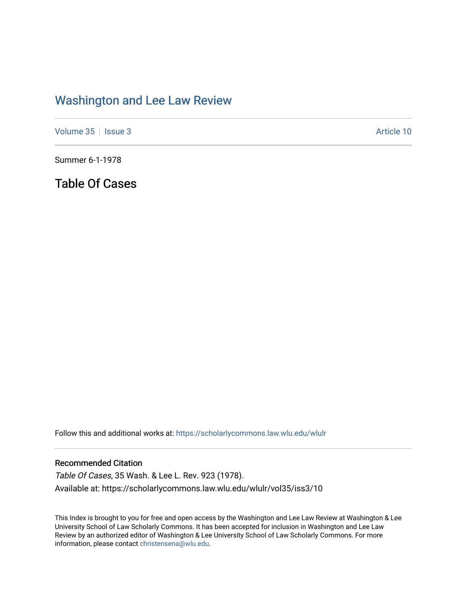## [Washington and Lee Law Review](https://scholarlycommons.law.wlu.edu/wlulr)

[Volume 35](https://scholarlycommons.law.wlu.edu/wlulr/vol35) | [Issue 3](https://scholarlycommons.law.wlu.edu/wlulr/vol35/iss3) Article 10

Summer 6-1-1978

Table Of Cases

Follow this and additional works at: [https://scholarlycommons.law.wlu.edu/wlulr](https://scholarlycommons.law.wlu.edu/wlulr?utm_source=scholarlycommons.law.wlu.edu%2Fwlulr%2Fvol35%2Fiss3%2F10&utm_medium=PDF&utm_campaign=PDFCoverPages) 

## Recommended Citation

Table Of Cases, 35 Wash. & Lee L. Rev. 923 (1978). Available at: https://scholarlycommons.law.wlu.edu/wlulr/vol35/iss3/10

This Index is brought to you for free and open access by the Washington and Lee Law Review at Washington & Lee University School of Law Scholarly Commons. It has been accepted for inclusion in Washington and Lee Law Review by an authorized editor of Washington & Lee University School of Law Scholarly Commons. For more information, please contact [christensena@wlu.edu](mailto:christensena@wlu.edu).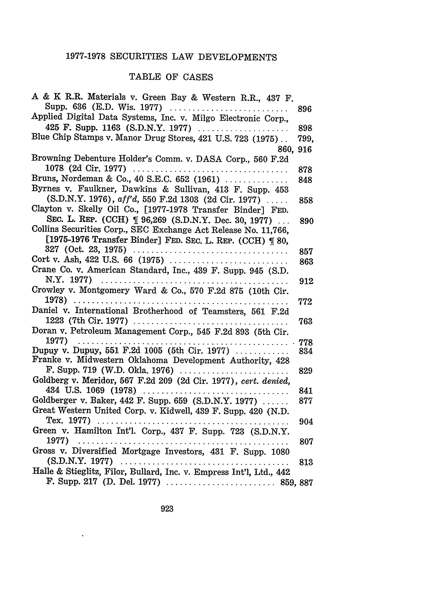## 1977-1978 SECURITIES LAW DEVELOPMENTS

## TABLE OF CASES

| A & K R.R. Materials v. Green Bay & Western R.R., 437 F.            |      |
|---------------------------------------------------------------------|------|
| Supp. 636 (E.D. Wis. 1977)                                          | 896  |
| Applied Digital Data Systems, Inc. v. Milgo Electronic Corp.,       |      |
| 425 F. Supp. 1163 (S.D.N.Y. 1977)                                   | 898  |
| Blue Chip Stamps v. Manor Drug Stores, 421 U.S. 723 (1975)          | 799, |
| 860,                                                                | 916  |
| Browning Debenture Holder's Comm. v. DASA Corp., 560 F.2d           |      |
|                                                                     | 878  |
| Bruns, Nordeman & Co., 40 S.E.C. 652 (1961)                         | 848  |
| Byrnes v. Faulkner, Dawkins & Sullivan, 413 F. Supp. 453            |      |
| (S.D.N.Y. 1976), aff'd, 550 F.2d 1303 (2d Cir. 1977)                | 858  |
| Clayton v. Skelly Oil Co., [1977-1978 Transfer Binder] FED.         |      |
| SEC. L. REP. (CCH) [96,269 (S.D.N.Y. Dec. 30, 1977)                 | 890  |
| Collins Securities Corp., SEC Exchange Act Release No. 11,766,      |      |
| [1975-1976 Transfer Binder] FED. SEC. L. REP. (CCH) ¶ 80,           |      |
|                                                                     | 857  |
|                                                                     | 863  |
| Crane Co. v. American Standard, Inc., 439 F. Supp. 945 (S.D.        |      |
|                                                                     | 912  |
| Crowley v. Montgomery Ward & Co., 570 F.2d 875 (10th Cir.           |      |
| 1978)                                                               | 772  |
| Daniel v. International Brotherhood of Teamsters, 561 F.2d          |      |
|                                                                     | 763  |
| Doran v. Petroleum Management Corp., 545 F.2d 893 (5th Cir.         |      |
| 1977)<br>.                                                          | 778  |
| Dupuy v. Dupuy, 551 F.2d 1005 (5th Cir. 1977)                       | 834  |
| Franke v. Midwestern Oklahoma Development Authority, 428            |      |
| F. Supp. 719 (W.D. Okla. 1976) $\ldots$                             | 829  |
| Goldberg v. Meridor, 567 F.2d 209 (2d Cir. 1977), cert. denied,     |      |
| 434 U.S. 1069 (1978)                                                | 841  |
| Goldberger v. Baker, 442 F. Supp. 659 (S.D.N.Y. 1977)               | 877  |
| Great Western United Corp. v. Kidwell, 439 F. Supp. 420 (N.D.       |      |
| Tex. 1977)                                                          | 904  |
| Green v. Hamilton Int'l. Corp., 437 F. Supp. 723 (S.D.N.Y.          |      |
| 1977)<br>.<br>.                                                     | 807  |
| Gross v. Diversified Mortgage Investors, 431 F. Supp. 1080          |      |
|                                                                     | 813  |
| Halle & Stieglitz, Filor, Bullard, Inc. v. Empress Int'l, Ltd., 442 |      |
|                                                                     |      |

 $\sim 10^{-11}$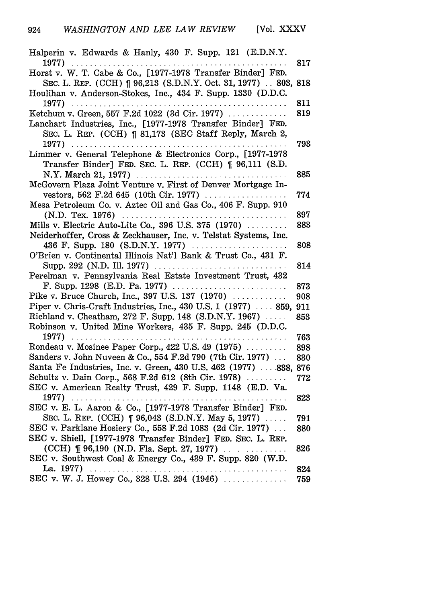| Halperin v. Edwards & Hanly, 430 F. Supp. 121 (E.D.N.Y.                                                                                                                                                                                                                                                                                                                                                                                                                                          |     |
|--------------------------------------------------------------------------------------------------------------------------------------------------------------------------------------------------------------------------------------------------------------------------------------------------------------------------------------------------------------------------------------------------------------------------------------------------------------------------------------------------|-----|
| 1977)<br>Horst v. W. T. Cabe & Co., [1977-1978 Transfer Binder] FED.                                                                                                                                                                                                                                                                                                                                                                                                                             | 817 |
|                                                                                                                                                                                                                                                                                                                                                                                                                                                                                                  |     |
| SEC. L. REP. (CCH) [ 96,213 (S.D.N.Y. Oct. 31, 1977) . 803, 818                                                                                                                                                                                                                                                                                                                                                                                                                                  |     |
| Houlihan v. Anderson-Stokes, Inc., 434 F. Supp. 1330 (D.D.C.                                                                                                                                                                                                                                                                                                                                                                                                                                     |     |
| 1977).<br>. <i>.</i> .                                                                                                                                                                                                                                                                                                                                                                                                                                                                           | 811 |
| Ketchum v. Green, 557 F.2d 1022 (3d Cir. 1977)                                                                                                                                                                                                                                                                                                                                                                                                                                                   | 819 |
| Lanchart Industries, Inc., [1977-1978 Transfer Binder] FED.                                                                                                                                                                                                                                                                                                                                                                                                                                      |     |
| SEC. L. REP. (CCH) [ 81,173 (SEC Staff Reply, March 2,                                                                                                                                                                                                                                                                                                                                                                                                                                           |     |
| 1977)                                                                                                                                                                                                                                                                                                                                                                                                                                                                                            | 793 |
| Limmer v. General Telephone & Electronics Corp., [1977-1978                                                                                                                                                                                                                                                                                                                                                                                                                                      |     |
| Transfer Binder] FED. SEC. L. REP. (CCH) [ 96,111 (S.D.                                                                                                                                                                                                                                                                                                                                                                                                                                          |     |
|                                                                                                                                                                                                                                                                                                                                                                                                                                                                                                  | 885 |
| McGovern Plaza Joint Venture v. First of Denver Mortgage In-                                                                                                                                                                                                                                                                                                                                                                                                                                     |     |
| vestors, 562 F.2d 645 (10th Cir. 1977)                                                                                                                                                                                                                                                                                                                                                                                                                                                           | 774 |
| Mesa Petroleum Co. v. Aztec Oil and Gas Co., 406 F. Supp. 910                                                                                                                                                                                                                                                                                                                                                                                                                                    |     |
| (N.D. Tex. 1976)                                                                                                                                                                                                                                                                                                                                                                                                                                                                                 | 897 |
| Mills v. Electric Auto-Lite Co., 396 U.S. 375 (1970)                                                                                                                                                                                                                                                                                                                                                                                                                                             | 883 |
| Neiderhoffer, Cross & Zeckhauser, Inc. v. Telstat Systems, Inc.                                                                                                                                                                                                                                                                                                                                                                                                                                  |     |
| 436 F. Supp. 180 (S.D.N.Y. 1977)                                                                                                                                                                                                                                                                                                                                                                                                                                                                 | 808 |
| O'Brien v. Continental Illinois Nat'l Bank & Trust Co., 431 F.                                                                                                                                                                                                                                                                                                                                                                                                                                   |     |
| Supp. 292 (N.D. Ill. 1977)<br>.                                                                                                                                                                                                                                                                                                                                                                                                                                                                  | 814 |
| Perelman v. Pennsylvania Real Estate Investment Trust, 432                                                                                                                                                                                                                                                                                                                                                                                                                                       |     |
|                                                                                                                                                                                                                                                                                                                                                                                                                                                                                                  | 873 |
| Pike v. Bruce Church, Inc., 397 U.S. 137 (1970)                                                                                                                                                                                                                                                                                                                                                                                                                                                  | 908 |
| Piper v. Chris-Craft Industries, Inc., $430$ U.S. 1 $(1977)$ $859$ ,                                                                                                                                                                                                                                                                                                                                                                                                                             | 911 |
| Richland v. Cheatham, 272 F. Supp. 148 (S.D.N.Y. 1967)                                                                                                                                                                                                                                                                                                                                                                                                                                           | 853 |
| Robinson v. United Mine Workers, 435 F. Supp. 245 (D.D.C.                                                                                                                                                                                                                                                                                                                                                                                                                                        |     |
| 1977).<br>$\begin{array}{cccccccccccccc} \multicolumn{2}{c}{} & \multicolumn{2}{c}{} & \multicolumn{2}{c}{} & \multicolumn{2}{c}{} & \multicolumn{2}{c}{} & \multicolumn{2}{c}{} & \multicolumn{2}{c}{} & \multicolumn{2}{c}{} & \multicolumn{2}{c}{} & \multicolumn{2}{c}{} & \multicolumn{2}{c}{} & \multicolumn{2}{c}{} & \multicolumn{2}{c}{} & \multicolumn{2}{c}{} & \multicolumn{2}{c}{} & \multicolumn{2}{c}{} & \multicolumn{2}{c}{} & \multicolumn{2}{c}{} & \multicolumn{2}{c}{} & \$ | 763 |
| Rondeau v. Mosinee Paper Corp., 422 U.S. 49 (1975)                                                                                                                                                                                                                                                                                                                                                                                                                                               | 898 |
| Sanders v. John Nuveen & Co., 554 F.2d 790 (7th Cir. 1977)                                                                                                                                                                                                                                                                                                                                                                                                                                       | 830 |
| Santa Fe Industries, Inc. v. Green, 430 U.S. 462 (1977)  838,                                                                                                                                                                                                                                                                                                                                                                                                                                    | 876 |
| Schultz v. Dain Corp., 568 F.2d 612 (8th Cir. 1978)                                                                                                                                                                                                                                                                                                                                                                                                                                              | 772 |
| SEC v. American Realty Trust, 429 F. Supp. 1148 (E.D. Va.                                                                                                                                                                                                                                                                                                                                                                                                                                        |     |
|                                                                                                                                                                                                                                                                                                                                                                                                                                                                                                  | 823 |
| SEC v. E. L. Aaron & Co., [1977-1978 Transfer Binder] FED.                                                                                                                                                                                                                                                                                                                                                                                                                                       |     |
| SEC. L. REP. (CCH) [ 96,043 (S.D.N.Y. May 5, 1977)                                                                                                                                                                                                                                                                                                                                                                                                                                               | 791 |
| SEC v. Parklane Hosiery Co., 558 F.2d 1083 (2d Cir. 1977)                                                                                                                                                                                                                                                                                                                                                                                                                                        | 880 |
|                                                                                                                                                                                                                                                                                                                                                                                                                                                                                                  |     |
| SEC v. Shiell, [1977-1978 Transfer Binder] FED. SEC. L. REP.                                                                                                                                                                                                                                                                                                                                                                                                                                     |     |
|                                                                                                                                                                                                                                                                                                                                                                                                                                                                                                  | 826 |
| SEC v. Southwest Coal & Energy Co., 439 F. Supp. 820 (W.D.                                                                                                                                                                                                                                                                                                                                                                                                                                       |     |
| La. 1977)<br>.                                                                                                                                                                                                                                                                                                                                                                                                                                                                                   | 824 |
| SEC v. W. J. Howey Co., 328 U.S. 294 (1946)                                                                                                                                                                                                                                                                                                                                                                                                                                                      | 759 |